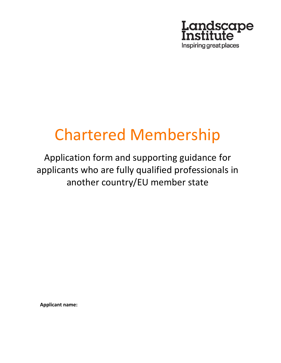

# Chartered Membership

Application form and supporting guidance for applicants who are fully qualified professionals in another country/EU member state

**Applicant name:**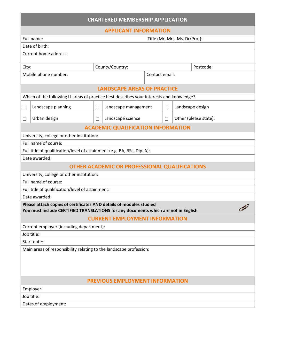| <b>CHARTERED MEMBERSHIP APPLICATION</b>                                                                                                                   |                               |                                                      |                |        |                       |
|-----------------------------------------------------------------------------------------------------------------------------------------------------------|-------------------------------|------------------------------------------------------|----------------|--------|-----------------------|
| <b>APPLICANT INFORMATION</b>                                                                                                                              |                               |                                                      |                |        |                       |
| Full name:                                                                                                                                                | Title (Mr, Mrs, Ms, Dr/Prof): |                                                      |                |        |                       |
| Date of birth:                                                                                                                                            |                               |                                                      |                |        |                       |
| Current home address:                                                                                                                                     |                               |                                                      |                |        |                       |
| City:                                                                                                                                                     |                               | County/Country:                                      |                |        | Postcode:             |
| Mobile phone number:                                                                                                                                      |                               |                                                      | Contact email: |        |                       |
|                                                                                                                                                           |                               | <b>LANDSCAPE AREAS OF PRACTICE</b>                   |                |        |                       |
| Which of the following LI areas of practice best describes your interests and knowledge?                                                                  |                               |                                                      |                |        |                       |
| Landscape planning<br>$\Box$                                                                                                                              | $\Box$                        | Landscape management                                 |                | $\Box$ | Landscape design      |
| Urban design<br>$\Box$                                                                                                                                    | П                             | Landscape science                                    |                | $\Box$ | Other (please state): |
|                                                                                                                                                           |                               | <b>ACADEMIC QUALIFICATION INFORMATION</b>            |                |        |                       |
| University, college or other institution:                                                                                                                 |                               |                                                      |                |        |                       |
| Full name of course:                                                                                                                                      |                               |                                                      |                |        |                       |
| Full title of qualification/level of attainment (e.g. BA, BSc, DipLA):                                                                                    |                               |                                                      |                |        |                       |
| Date awarded:                                                                                                                                             |                               |                                                      |                |        |                       |
|                                                                                                                                                           |                               | <b>OTHER ACADEMIC OR PROFESSIONAL QUALIFICATIONS</b> |                |        |                       |
| University, college or other institution:                                                                                                                 |                               |                                                      |                |        |                       |
| Full name of course:                                                                                                                                      |                               |                                                      |                |        |                       |
| Full title of qualification/level of attainment:                                                                                                          |                               |                                                      |                |        |                       |
| Date awarded:                                                                                                                                             |                               |                                                      |                |        |                       |
| Please attach copies of certificates AND details of modules studied<br>You must include CERTIFIED TRANSLATIONS for any documents which are not in English |                               |                                                      |                |        |                       |
|                                                                                                                                                           |                               | <b>CURRENT EMPLOYMENT INFORMATION</b>                |                |        |                       |
| Current employer (including department):                                                                                                                  |                               |                                                      |                |        |                       |
| Job title:                                                                                                                                                |                               |                                                      |                |        |                       |
| Start date:                                                                                                                                               |                               |                                                      |                |        |                       |
| Main areas of responsibility relating to the landscape profession:                                                                                        |                               |                                                      |                |        |                       |
| <b>PREVIOUS EMPLOYMENT INFORMATION</b>                                                                                                                    |                               |                                                      |                |        |                       |
| Employer:                                                                                                                                                 |                               |                                                      |                |        |                       |
| Job title:                                                                                                                                                |                               |                                                      |                |        |                       |
| Dates of employment:                                                                                                                                      |                               |                                                      |                |        |                       |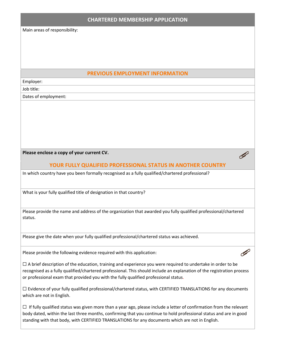### **CHARTERED MEMBERSHIP APPLICATION**

Main areas of responsibility:

## **PREVIOUS EMPLOYMENT INFORMATION**

Employer:

Job title:

Dates of employment:

**Please enclose a copy of your current CV.**

**YOUR FULLY QUALIFIED PROFESSIONAL STATUS IN ANOTHER COUNTRY**

 $\mathscr Q$ 

 $\mathscr Q$ 

In which country have you been formally recognised as a fully qualified/chartered professional?

What is your fully qualified title of designation in that country?

Please provide the name and address of the organization that awarded you fully qualified professional/chartered status.

Please give the date when your fully qualified professional/chartered status was achieved.

Please provide the following evidence required with this application:

 $\Box$  A brief description of the education, training and experience you were required to undertake in order to be recognised as a fully qualified/chartered professional. This should include an explanation of the registration process or professional exam that provided you with the fully qualified professional status.

☐ Evidence of your fully qualified professional/chartered status, with CERTIFIED TRANSLATIONS for any documents which are not in English.

 $\Box$  If fully qualified status was given more than a year ago, please include a letter of confirmation from the relevant body dated, within the last three months, confirming that you continue to hold professional status and are in good standing with that body, with CERTIFIED TRANSLATIONS for any documents which are not in English.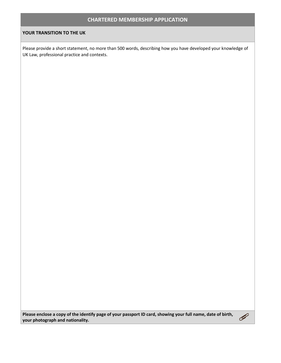## **CHARTERED MEMBERSHIP APPLICATION**

#### **YOUR TRANSITION TO THE UK**

Please provide a short statement, no more than 500 words, describing how you have developed your knowledge of UK Law, professional practice and contexts.

**Please enclose a copy of the identify page of your passport ID card, showing your full name, date of birth, your photograph and nationality.**

 $\mathscr{Q}$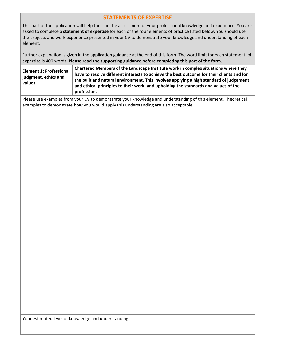## **STATEMENTS OF EXPERTISE**

This part of the application will help the LI in the assessment of your professional knowledge and experience. You are asked to complete a **statement of expertise** for each of the four elements of practice listed below. You should use the projects and work experience presented in your CV to demonstrate your knowledge and understanding of each element.

Further explanation is given in the application guidance at the end of this form. The word limit for each statement of expertise is 400 words. **Please read the supporting guidance before completing this part of the form.**

| <b>Element 1: Professional</b><br>judgment, ethics and<br>values | Chartered Members of the Landscape Institute work in complex situations where they<br>have to resolve different interests to achieve the best outcome for their clients and for<br>the built and natural environment. This involves applying a high standard of judgement<br>and ethical principles to their work, and upholding the standards and values of the<br>profession. |
|------------------------------------------------------------------|---------------------------------------------------------------------------------------------------------------------------------------------------------------------------------------------------------------------------------------------------------------------------------------------------------------------------------------------------------------------------------|
|------------------------------------------------------------------|---------------------------------------------------------------------------------------------------------------------------------------------------------------------------------------------------------------------------------------------------------------------------------------------------------------------------------------------------------------------------------|

Please use examples from your CV to demonstrate your knowledge and understanding of this element. Theoretical examples to demonstrate **how** you would apply this understanding are also acceptable.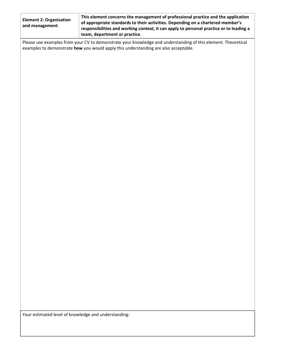| <b>Element 2: Organisation</b><br>and management                                                              | This element concerns the management of professional practice and the application<br>of appropriate standards to their activities. Depending on a chartered member's<br>responsibilities and working context, it can apply to personal practice or to leading a<br>team, department or practice. |  |
|---------------------------------------------------------------------------------------------------------------|--------------------------------------------------------------------------------------------------------------------------------------------------------------------------------------------------------------------------------------------------------------------------------------------------|--|
| Please use examples from your CV to demonstrate your knowledge and understanding of this element. Theoretical |                                                                                                                                                                                                                                                                                                  |  |

examples to demonstrate **how** you would apply this understanding are also acceptable.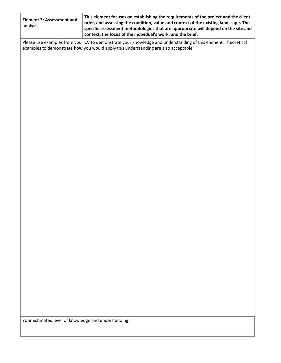| <b>Element 3: Assessment and</b><br>analysis | This element focuses on establishing the requirements of the project and the client<br>brief, and assessing the condition, value and context of the existing landscape. The<br>specific assessment methodologies that are appropriate will depend on the site and<br>context, the focus of the individual's work, and the brief. |
|----------------------------------------------|----------------------------------------------------------------------------------------------------------------------------------------------------------------------------------------------------------------------------------------------------------------------------------------------------------------------------------|
|                                              | Please use examples from your CV to demonstrate your knowledge and understanding of this element. Theoretical<br>examples to demonstrate how you would apply this understanding are also acceptable.                                                                                                                             |
|                                              |                                                                                                                                                                                                                                                                                                                                  |
|                                              |                                                                                                                                                                                                                                                                                                                                  |
|                                              |                                                                                                                                                                                                                                                                                                                                  |
|                                              |                                                                                                                                                                                                                                                                                                                                  |
|                                              |                                                                                                                                                                                                                                                                                                                                  |
|                                              |                                                                                                                                                                                                                                                                                                                                  |
|                                              |                                                                                                                                                                                                                                                                                                                                  |
|                                              |                                                                                                                                                                                                                                                                                                                                  |
|                                              |                                                                                                                                                                                                                                                                                                                                  |
|                                              |                                                                                                                                                                                                                                                                                                                                  |
|                                              |                                                                                                                                                                                                                                                                                                                                  |
|                                              |                                                                                                                                                                                                                                                                                                                                  |
|                                              |                                                                                                                                                                                                                                                                                                                                  |
|                                              |                                                                                                                                                                                                                                                                                                                                  |
|                                              |                                                                                                                                                                                                                                                                                                                                  |
|                                              |                                                                                                                                                                                                                                                                                                                                  |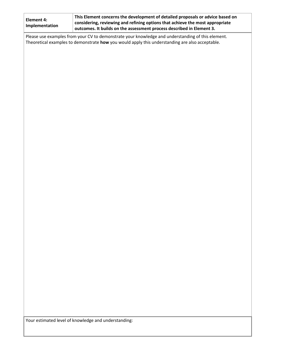| <b>Element 4:</b><br>Implementation                                                                                                                                                                  | This Element concerns the development of detailed proposals or advice based on<br>considering, reviewing and refining options that achieve the most appropriate<br>outcomes. It builds on the assessment process described in Element 3. |  |  |
|------------------------------------------------------------------------------------------------------------------------------------------------------------------------------------------------------|------------------------------------------------------------------------------------------------------------------------------------------------------------------------------------------------------------------------------------------|--|--|
| Please use examples from your CV to demonstrate your knowledge and understanding of this element.<br>Theoretical examples to demonstrate how you would apply this understanding are also acceptable. |                                                                                                                                                                                                                                          |  |  |
|                                                                                                                                                                                                      |                                                                                                                                                                                                                                          |  |  |
|                                                                                                                                                                                                      |                                                                                                                                                                                                                                          |  |  |
|                                                                                                                                                                                                      |                                                                                                                                                                                                                                          |  |  |
|                                                                                                                                                                                                      |                                                                                                                                                                                                                                          |  |  |
|                                                                                                                                                                                                      |                                                                                                                                                                                                                                          |  |  |
|                                                                                                                                                                                                      |                                                                                                                                                                                                                                          |  |  |
|                                                                                                                                                                                                      |                                                                                                                                                                                                                                          |  |  |
|                                                                                                                                                                                                      |                                                                                                                                                                                                                                          |  |  |
|                                                                                                                                                                                                      |                                                                                                                                                                                                                                          |  |  |
|                                                                                                                                                                                                      |                                                                                                                                                                                                                                          |  |  |
|                                                                                                                                                                                                      |                                                                                                                                                                                                                                          |  |  |
|                                                                                                                                                                                                      |                                                                                                                                                                                                                                          |  |  |
|                                                                                                                                                                                                      |                                                                                                                                                                                                                                          |  |  |
|                                                                                                                                                                                                      |                                                                                                                                                                                                                                          |  |  |
|                                                                                                                                                                                                      |                                                                                                                                                                                                                                          |  |  |
|                                                                                                                                                                                                      |                                                                                                                                                                                                                                          |  |  |
|                                                                                                                                                                                                      |                                                                                                                                                                                                                                          |  |  |
|                                                                                                                                                                                                      |                                                                                                                                                                                                                                          |  |  |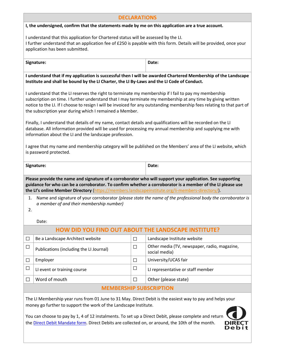| <b>DECLARATIONS</b>                                                                                                                                                                                                                                                                                                                                                                                                                                                                                                                                                                                                                                                                                                                                                                                                                                                |                                                                                                                                                                                                                                               |        |                                                               |  |
|--------------------------------------------------------------------------------------------------------------------------------------------------------------------------------------------------------------------------------------------------------------------------------------------------------------------------------------------------------------------------------------------------------------------------------------------------------------------------------------------------------------------------------------------------------------------------------------------------------------------------------------------------------------------------------------------------------------------------------------------------------------------------------------------------------------------------------------------------------------------|-----------------------------------------------------------------------------------------------------------------------------------------------------------------------------------------------------------------------------------------------|--------|---------------------------------------------------------------|--|
| I, the undersigned, confirm that the statements made by me on this application are a true account.                                                                                                                                                                                                                                                                                                                                                                                                                                                                                                                                                                                                                                                                                                                                                                 |                                                                                                                                                                                                                                               |        |                                                               |  |
|                                                                                                                                                                                                                                                                                                                                                                                                                                                                                                                                                                                                                                                                                                                                                                                                                                                                    | I understand that this application for Chartered status will be assessed by the LI.<br>I further understand that an application fee of £250 is payable with this form. Details will be provided, once your<br>application has been submitted. |        |                                                               |  |
|                                                                                                                                                                                                                                                                                                                                                                                                                                                                                                                                                                                                                                                                                                                                                                                                                                                                    | Signature:                                                                                                                                                                                                                                    |        | Date:                                                         |  |
|                                                                                                                                                                                                                                                                                                                                                                                                                                                                                                                                                                                                                                                                                                                                                                                                                                                                    | I understand that if my application is successful then I will be awarded Chartered Membership of the Landscape<br>Institute and shall be bound by the LI Charter, the LI By-Laws and the LI Code of Conduct.                                  |        |                                                               |  |
| I understand that the LI reserves the right to terminate my membership if I fail to pay my membership<br>subscription on time. I further understand that I may terminate my membership at any time by giving written<br>notice to the LI. If I choose to resign I will be invoiced for any outstanding membership fees relating to that part of<br>the subscription year during which I remained a Member.<br>Finally, I understand that details of my name, contact details and qualifications will be recorded on the LI<br>database. All information provided will be used for processing my annual membership and supplying me with<br>information about the LI and the landscape profession.<br>I agree that my name and membership category will be published on the Members' area of the LI website, which<br>is password protected.<br>Date:<br>Signature: |                                                                                                                                                                                                                                               |        |                                                               |  |
| Please provide the name and signature of a corroborator who will support your application. See supporting<br>guidance for who can be a corroborator. To confirm whether a corroborator is a member of the LI please use                                                                                                                                                                                                                                                                                                                                                                                                                                                                                                                                                                                                                                            |                                                                                                                                                                                                                                               |        |                                                               |  |
|                                                                                                                                                                                                                                                                                                                                                                                                                                                                                                                                                                                                                                                                                                                                                                                                                                                                    | the LI's online Member Directory (https://members.landscapeinstitute.org/li-members-directory/).                                                                                                                                              |        |                                                               |  |
| Name and signature of your corroborator (please state the name of the professional body the corroborator is<br>1.<br>a member of and their membership number)<br>2.                                                                                                                                                                                                                                                                                                                                                                                                                                                                                                                                                                                                                                                                                                |                                                                                                                                                                                                                                               |        |                                                               |  |
|                                                                                                                                                                                                                                                                                                                                                                                                                                                                                                                                                                                                                                                                                                                                                                                                                                                                    | Date:                                                                                                                                                                                                                                         |        |                                                               |  |
|                                                                                                                                                                                                                                                                                                                                                                                                                                                                                                                                                                                                                                                                                                                                                                                                                                                                    | HOW DID YOU FIND OUT ABOUT THE LANDSCAPE INSTITUTE?                                                                                                                                                                                           |        |                                                               |  |
| □                                                                                                                                                                                                                                                                                                                                                                                                                                                                                                                                                                                                                                                                                                                                                                                                                                                                  | Be a Landscape Architect website                                                                                                                                                                                                              | $\Box$ | Landscape Institute website                                   |  |
| □                                                                                                                                                                                                                                                                                                                                                                                                                                                                                                                                                                                                                                                                                                                                                                                                                                                                  | Publications (including the LI Journal)                                                                                                                                                                                                       | $\Box$ | Other media (TV, newspaper, radio, magazine,<br>social media) |  |
| □                                                                                                                                                                                                                                                                                                                                                                                                                                                                                                                                                                                                                                                                                                                                                                                                                                                                  | Employer                                                                                                                                                                                                                                      | $\Box$ | University/UCAS fair                                          |  |
| $\Box$                                                                                                                                                                                                                                                                                                                                                                                                                                                                                                                                                                                                                                                                                                                                                                                                                                                             | LI event or training course                                                                                                                                                                                                                   | $\Box$ | LI representative or staff member                             |  |
| $\Box$                                                                                                                                                                                                                                                                                                                                                                                                                                                                                                                                                                                                                                                                                                                                                                                                                                                             | Word of mouth                                                                                                                                                                                                                                 | $\Box$ | Other (please state)                                          |  |
|                                                                                                                                                                                                                                                                                                                                                                                                                                                                                                                                                                                                                                                                                                                                                                                                                                                                    | <b>MEMBERSHIP SUBSCRIPTION</b>                                                                                                                                                                                                                |        |                                                               |  |
|                                                                                                                                                                                                                                                                                                                                                                                                                                                                                                                                                                                                                                                                                                                                                                                                                                                                    | The LI Membership year runs from 01 June to 31 May. Direct Debit is the easiest way to pay and helps your<br>money go further to support the work of the Landscape Institute.                                                                 |        |                                                               |  |

You can choose to pay by 1, 4 of 12 instalments. To set up a Direct Debit, please complete and return the **Direct Debit Mandate form**. Direct Debits are collected on, or around, the 10th of the month.

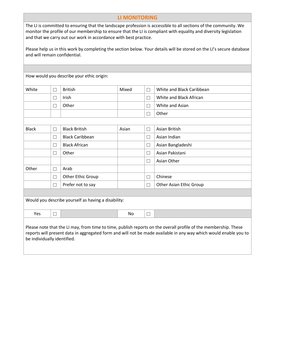#### **LI MONITORING**

The LI is committed to ensuring that the landscape profession is accessible to all sections of the community. We monitor the profile of our membership to ensure that the LI is compliant with equality and diversity legislation and that we carry out our work in accordance with best practice.

Please help us in this work by completing the section below. Your details will be stored on the LI's secure database and will remain confidential.

How would you describe your ethic origin:

| White | <b>British</b> | Mixed | White and Black Caribbean |
|-------|----------------|-------|---------------------------|
|       | Irish          |       | White and Black African   |
|       | Other          |       | White and Asian           |
|       |                |       | Other                     |
|       |                |       |                           |

| <b>Black</b> | П      | <b>Black British</b>                                | Asian | Ξ      | Asian British           |
|--------------|--------|-----------------------------------------------------|-------|--------|-------------------------|
|              | $\Box$ | <b>Black Caribbean</b>                              |       | ▁      | Asian Indian            |
|              | П      | <b>Black African</b>                                |       | ▁      | Asian Bangladeshi       |
|              | П      | Other                                               |       | Ξ      | Asian Pakistani         |
|              |        |                                                     |       | $\Box$ | Asian Other             |
| Other        | П      | Arab                                                |       |        |                         |
|              | П      | Other Ethic Group                                   |       | r.     | Chinese                 |
|              | $\Box$ | Prefer not to say                                   |       | □      | Other Asian Ethic Group |
|              |        |                                                     |       |        |                         |
|              |        | Would you describe yourself as having a disability: |       |        |                         |
|              |        |                                                     |       |        |                         |
| Yes          | $\Box$ |                                                     | No    | Ξ      |                         |
|              |        |                                                     |       |        |                         |

Please note that the LI may, from time to time, publish reports on the overall profile of the membership. These reports will present data in aggregated form and will not be made available in any way which would enable you to be individually identified.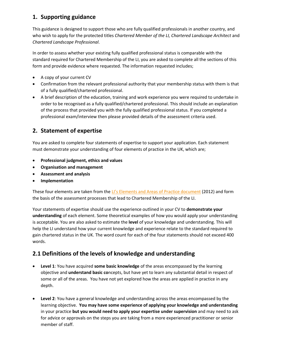# **1. Supporting guidance**

This guidance is designed to support those who are fully qualified professionals in another country, and who wish to apply for the protected titles *Chartered Member of the LI, Chartered Landscape Architect* and *Chartered Landscape Professional*.

In order to assess whether your existing fully qualified professional status is comparable with the standard required for Chartered Membership of the LI, you are asked to complete all the sections of this form and provide evidence where requested. The information requested includes;

- A copy of your current CV
- Confirmation from the relevant professional authority that your membership status with them is that of a fully qualified/chartered professional.
- A brief description of the education, training and work experience you were required to undertake in order to be recognised as a fully qualified/chartered professional. This should include an explanation of the process that provided you with the fully qualified professional status. If you completed a professional exam/interview then please provided details of the assessment criteria used.

# **2. Statement of expertise**

You are asked to complete four statements of expertise to support your application. Each statement must demonstrate your understanding of four elements of practice in the UK, which are;

- **Professional judgment, ethics and values**
- **Organisation and management**
- **Assessment and analysis**
- **Implementation**

These four elements are taken from the [LI's Elements and Areas of](http://landscapeinstitute.org/PDF/Contribute/A4_Elements_and_areas_of_practice_education_framework_Board_final_2012.pdf) Practice document (2012) and form the basis of the assessment processes that lead to Chartered Membership of the LI.

Your statements of expertise should use the experience outlined in your CV to **demonstrate your understanding** of each element. Some theoretical examples of how you would apply your understanding is acceptable. You are also asked to estimate the **level** of your knowledge and understanding. This will help the LI understand how your current knowledge and experience relate to the standard required to gain chartered status in the UK. The word count for each of the four statements should not exceed 400 words.

# **2.1 Definitions of the levels of knowledge and understanding**

- **Level 1**: You have acquired **some basic knowledge** of the areas encompassed by the learning objective and **understand basic co**ncepts, but have yet to learn any substantial detail in respect of some or all of the areas. You have not yet explored how the areas are applied in practice in any depth.
- **Level 2**: You have a general knowledge and understanding across the areas encompassed by the learning objective. **You may have some experience of applying your knowledge and understanding** in your practice **but you would need to apply your expertise under supervision** and may need to ask for advice or approvals on the steps you are taking from a more experienced practitioner or senior member of staff.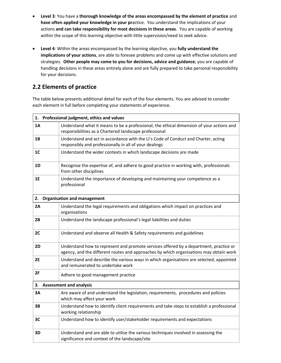- **Level 3**: You have a **thorough knowledge of the areas encompassed by the element of practice** and **have often applied your knowledge in your pr**actice. You understand the implications of your actions **and can take responsibility for most decisions in these areas**. You are capable of working within the scope of this learning objective with little supervision/need to seek advice.
- **Level 4**: Within the areas encompassed by the learning objective, you **fully understand the implications of your actions**, are able to foresee problems and come up with effective solutions and strategies. **Other people may come to you for decisions, advice and guidance**; you are capable of handling decisions in these areas entirely alone and are fully prepared to take personal responsibility for your decisions.

# **2.2 Elements of practice**

The table below presents additional detail for each of the four elements. You are advised to consider each element in full before completing your statements of experience.

| 1.             | Professional judgment, ethics and values                                                                                                                                        |
|----------------|---------------------------------------------------------------------------------------------------------------------------------------------------------------------------------|
| 1A             | Understand what it means to be a professional; the ethical dimension of your actions and<br>responsibilities as a Chartered landscape professional                              |
| 1B             | Understand and act in accordance with the LI's Code of Conduct and Charter, acting<br>responsibly and professionally in all of your dealings                                    |
| 1 <sup>C</sup> | Understand the wider contexts in which landscape decisions are made                                                                                                             |
| 1D             | Recognise the expertise of, and adhere to good practice in working with, professionals<br>from other disciplines                                                                |
| 1E             | Understand the importance of developing and maintaining your competence as a<br>professional                                                                                    |
| 2.             | <b>Organisation and management</b>                                                                                                                                              |
| 2A             | Understand the legal requirements and obligations which impact on practices and<br>organisations                                                                                |
| 2B             | Understand the landscape professional's legal liabilities and duties                                                                                                            |
| 2C             | Understand and observe all Health & Safety requirements and guidelines                                                                                                          |
| 2D             | Understand how to represent and promote services offered by a department, practice or<br>agency, and the different routes and approaches by which organisations may obtain work |
| <b>2E</b>      | Understand and describe the various ways in which organisations are selected, appointed<br>and remunerated to undertake work                                                    |
| 2F             | Adhere to good management practice                                                                                                                                              |
| 3.             | <b>Assessment and analysis</b>                                                                                                                                                  |
| 3A             | Are aware of and understand the legislation, requirements, procedures and policies<br>which may affect your work                                                                |
| 3В             | Understand how to identify client requirements and take steps to establish a professional<br>working relationship                                                               |
| 3C             | Understand how to identify user/stakeholder requirements and expectations                                                                                                       |
| 3D             | Understand and are able to utilise the various techniques involved in assessing the<br>significance and context of the landscape/site                                           |